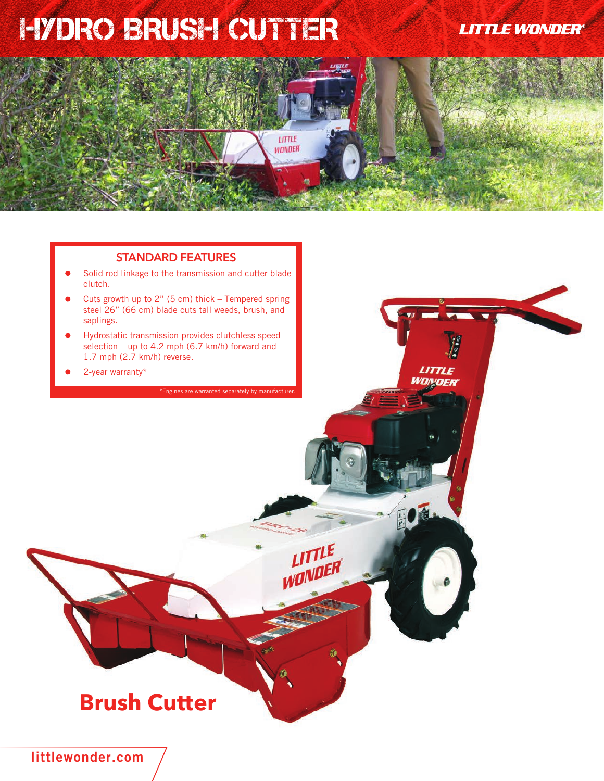## HYDRO BRUSH CUTTER

**LITTLE WONDER®** 

LITTLE WONDER

# LITTLE **WONDER**

#### **STANDARD FEATURES**

- Solid rod linkage to the transmission and cutter blade clutch.
- Cuts growth up to  $2$ " (5 cm) thick Tempered spring steel 26" (66 cm) blade cuts tall weeds, brush, and saplings.
- Hydrostatic transmission provides clutchless speed selection – up to 4.2 mph (6.7 km/h) forward and 1.7 mph (2.7 km/h) reverse.
- 2-year warranty\*

\*Engines are warranted separately by manufact

LITTLE<br>WONDER

## **Brush Cutter**

**littlewonder.com**